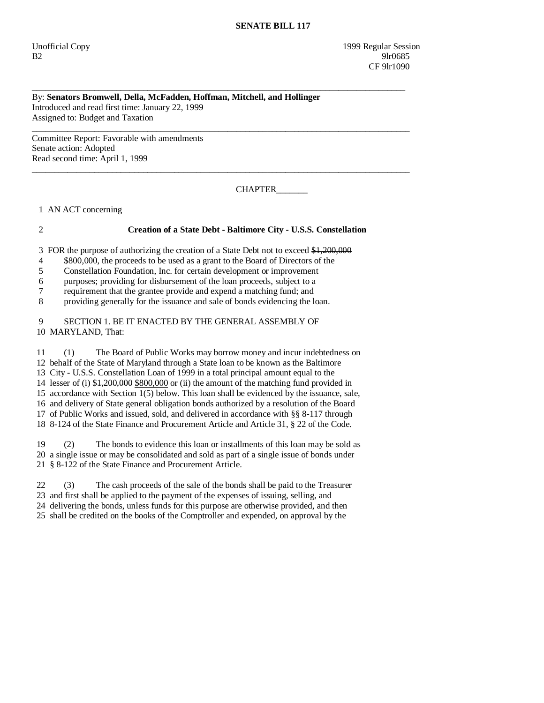## By: **Senators Bromwell, Della, McFadden, Hoffman, Mitchell, and Hollinger**  Introduced and read first time: January 22, 1999 Assigned to: Budget and Taxation

\_\_\_\_\_\_\_\_\_\_\_\_\_\_\_\_\_\_\_\_\_\_\_\_\_\_\_\_\_\_\_\_\_\_\_\_\_\_\_\_\_\_\_\_\_\_\_\_\_\_\_\_\_\_\_\_\_\_\_\_\_\_\_\_\_\_\_\_\_\_\_\_\_\_\_\_\_\_\_\_\_\_\_\_

\_\_\_\_\_\_\_\_\_\_\_\_\_\_\_\_\_\_\_\_\_\_\_\_\_\_\_\_\_\_\_\_\_\_\_\_\_\_\_\_\_\_\_\_\_\_\_\_\_\_\_\_\_\_\_\_\_\_\_\_\_\_\_\_\_\_\_\_\_\_\_\_\_\_\_\_\_\_\_\_\_\_\_\_\_

\_\_\_\_\_\_\_\_\_\_\_\_\_\_\_\_\_\_\_\_\_\_\_\_\_\_\_\_\_\_\_\_\_\_\_\_\_\_\_\_\_\_\_\_\_\_\_\_\_\_\_\_\_\_\_\_\_\_\_\_\_\_\_\_\_\_\_\_\_\_\_\_\_\_\_\_\_\_\_\_\_\_\_\_\_

Committee Report: Favorable with amendments Senate action: Adopted Read second time: April 1, 1999

CHAPTER\_\_\_\_\_\_\_

1 AN ACT concerning

# 2 **Creation of a State Debt - Baltimore City - U.S.S. Constellation**

3 FOR the purpose of authorizing the creation of a State Debt not to exceed \$1,200,000

- 4 \$800,000, the proceeds to be used as a grant to the Board of Directors of the
- 5 Constellation Foundation, Inc. for certain development or improvement

6 purposes; providing for disbursement of the loan proceeds, subject to a

7 requirement that the grantee provide and expend a matching fund; and

8 providing generally for the issuance and sale of bonds evidencing the loan.

 9 SECTION 1. BE IT ENACTED BY THE GENERAL ASSEMBLY OF 10 MARYLAND, That:

 11 (1) The Board of Public Works may borrow money and incur indebtedness on 12 behalf of the State of Maryland through a State loan to be known as the Baltimore 13 City - U.S.S. Constellation Loan of 1999 in a total principal amount equal to the 14 lesser of (i) \$1,200,000 \$800,000 or (ii) the amount of the matching fund provided in 15 accordance with Section 1(5) below. This loan shall be evidenced by the issuance, sale, 16 and delivery of State general obligation bonds authorized by a resolution of the Board 17 of Public Works and issued, sold, and delivered in accordance with §§ 8-117 through 18 8-124 of the State Finance and Procurement Article and Article 31, § 22 of the Code.

 19 (2) The bonds to evidence this loan or installments of this loan may be sold as 20 a single issue or may be consolidated and sold as part of a single issue of bonds under 21 § 8-122 of the State Finance and Procurement Article.

 22 (3) The cash proceeds of the sale of the bonds shall be paid to the Treasurer 23 and first shall be applied to the payment of the expenses of issuing, selling, and 24 delivering the bonds, unless funds for this purpose are otherwise provided, and then 25 shall be credited on the books of the Comptroller and expended, on approval by the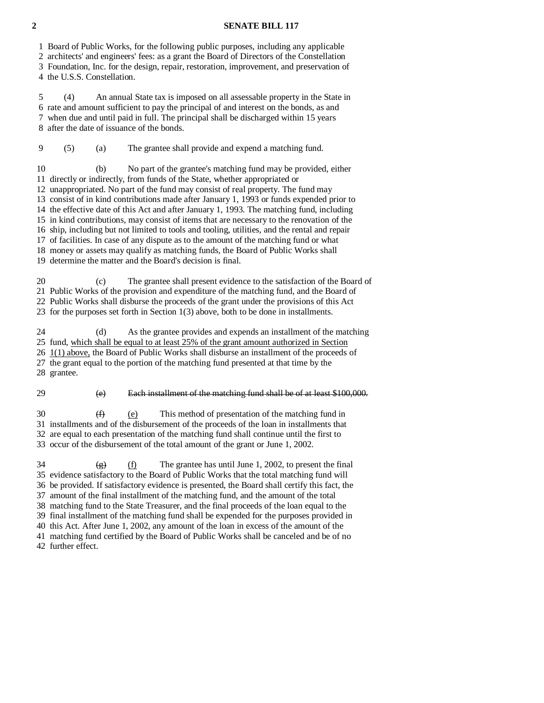### **2 SENATE BILL 117**

1 Board of Public Works, for the following public purposes, including any applicable

2 architects' and engineers' fees: as a grant the Board of Directors of the Constellation

 3 Foundation, Inc. for the design, repair, restoration, improvement, and preservation of 4 the U.S.S. Constellation.

 5 (4) An annual State tax is imposed on all assessable property in the State in 6 rate and amount sufficient to pay the principal of and interest on the bonds, as and 7 when due and until paid in full. The principal shall be discharged within 15 years 8 after the date of issuance of the bonds.

9 (5) (a) The grantee shall provide and expend a matching fund.

 10 (b) No part of the grantee's matching fund may be provided, either 11 directly or indirectly, from funds of the State, whether appropriated or 12 unappropriated. No part of the fund may consist of real property. The fund may 13 consist of in kind contributions made after January 1, 1993 or funds expended prior to 14 the effective date of this Act and after January 1, 1993. The matching fund, including 15 in kind contributions, may consist of items that are necessary to the renovation of the 16 ship, including but not limited to tools and tooling, utilities, and the rental and repair 17 of facilities. In case of any dispute as to the amount of the matching fund or what 18 money or assets may qualify as matching funds, the Board of Public Works shall 19 determine the matter and the Board's decision is final.

 20 (c) The grantee shall present evidence to the satisfaction of the Board of 21 Public Works of the provision and expenditure of the matching fund, and the Board of 22 Public Works shall disburse the proceeds of the grant under the provisions of this Act 23 for the purposes set forth in Section 1(3) above, both to be done in installments.

 24 (d) As the grantee provides and expends an installment of the matching 25 fund, which shall be equal to at least 25% of the grant amount authorized in Section 26 1(1) above, the Board of Public Works shall disburse an installment of the proceeds of 27 the grant equal to the portion of the matching fund presented at that time by the 28 grantee.

29 (e) Each installment of the matching fund shall be of at least \$100,000.

 $30 \qquad \qquad (f) \qquad (e) \qquad \qquad \text{This method of presentation of the matching fund in}$  31 installments and of the disbursement of the proceeds of the loan in installments that 32 are equal to each presentation of the matching fund shall continue until the first to 33 occur of the disbursement of the total amount of the grant or June 1, 2002.

 $\frac{1}{24}$  (f) The grantee has until June 1, 2002, to present the final 35 evidence satisfactory to the Board of Public Works that the total matching fund will 36 be provided. If satisfactory evidence is presented, the Board shall certify this fact, the 37 amount of the final installment of the matching fund, and the amount of the total 38 matching fund to the State Treasurer, and the final proceeds of the loan equal to the 39 final installment of the matching fund shall be expended for the purposes provided in 40 this Act. After June 1, 2002, any amount of the loan in excess of the amount of the 41 matching fund certified by the Board of Public Works shall be canceled and be of no 42 further effect.